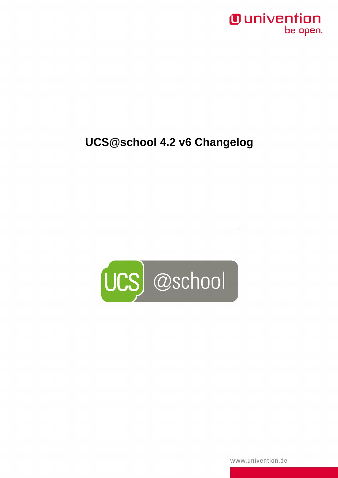### *Ounivention* be open.

# **UCS@school 4.2 v6 Changelog**



www.univention.de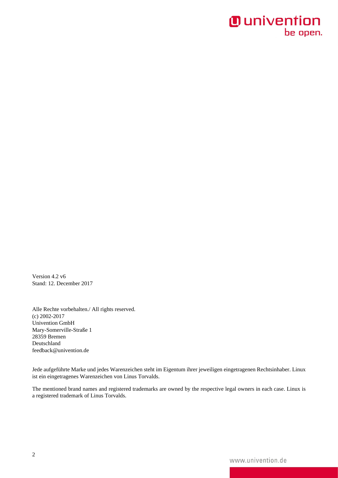# **O** univention be open.

Version 4.2 v6 Stand: 12. December 2017

Alle Rechte vorbehalten./ All rights reserved. (c) 2002-2017 Univention GmbH Mary-Somerville-Straße 1 28359 Bremen Deutschland feedback@univention.de

Jede aufgeführte Marke und jedes Warenzeichen steht im Eigentum ihrer jeweiligen eingetragenen Rechtsinhaber. Linux ist ein eingetragenes Warenzeichen von Linus Torvalds.

The mentioned brand names and registered trademarks are owned by the respective legal owners in each case. Linux is a registered trademark of Linus Torvalds.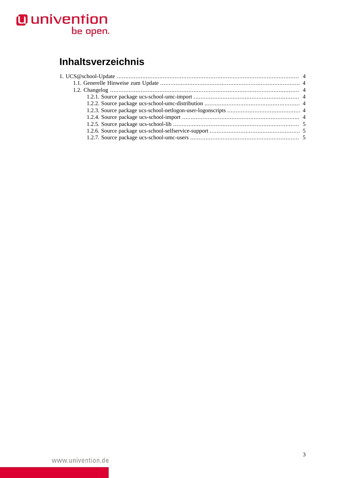# **O** univention<br>be open.

# **Inhaltsverzeichnis**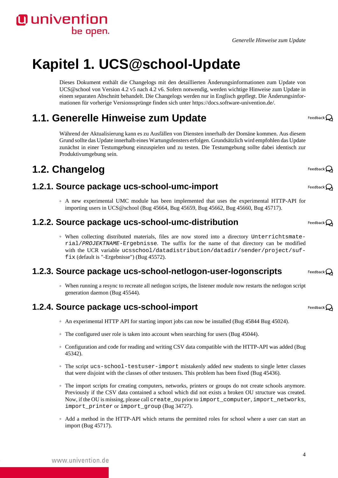*Generelle Hinweise zum Update*

# <span id="page-3-0"></span>**Kapitel 1. UCS@school-Update**

Dieses Dokument enthält die Changelogs mit den detaillierten Änderungsinformationen zum Update von UCS@school von Version 4.2 v5 nach 4.2 v6. Sofern notwendig, werden wichtige Hinweise zum Update in einem separaten Abschnitt behandelt. Die Changelogs werden nur in Englisch gepflegt. Die Änderungsinformationen für vorherige Versionssprünge finden sich unter [https://docs.software-univention.de/.](https://docs.software-univention.de/)

# <span id="page-3-1"></span>**1.1. Generelle Hinweise zum Update**

Während der Aktualisierung kann es zu Ausfällen von Diensten innerhalb der Domäne kommen. Aus diesem Grund sollte das Update innerhalb eines Wartungsfensters erfolgen. Grundsätzlich wird empfohlen das Update zunächst in einer Testumgebung einzuspielen und zu testen. Die Testumgebung sollte dabei identisch zur Produktivumgebung sein.

# <span id="page-3-2"></span>**1.2. Changelog**

#### <span id="page-3-3"></span>**1.2.1. Source package ucs-school-umc-import**

◦ A new experimental UMC module has been implemented that uses the experimental HTTP-API for importing users in UCS@school ([Bug 45664,](https://forge.univention.org/bugzilla/show_bug.cgi?id=45664) [Bug 45659,](https://forge.univention.org/bugzilla/show_bug.cgi?id=45659) [Bug 45662](https://forge.univention.org/bugzilla/show_bug.cgi?id=45662), [Bug 45660](https://forge.univention.org/bugzilla/show_bug.cgi?id=45660), [Bug 45717](https://forge.univention.org/bugzilla/show_bug.cgi?id=45717)).

#### <span id="page-3-4"></span>**1.2.2. Source package ucs-school-umc-distribution**

◦ When collecting distributed materials, files are now stored into a directory Unterrichtsmaterial/PROJEKTNAME-Ergebnisse. The suffix for the name of that directory can be modified with the UCR variable ucsschool/datadistribution/datadir/sender/project/suffix (default is "-Ergebnisse") [\(Bug 45572\)](https://forge.univention.org/bugzilla/show_bug.cgi?id=45572).

#### <span id="page-3-5"></span>**1.2.3. Source package ucs-school-netlogon-user-logonscripts**

◦ When running a resync to recreate all netlogon scripts, the listener module now restarts the netlogon script generation daemon ([Bug 45544](https://forge.univention.org/bugzilla/show_bug.cgi?id=45544)).

#### <span id="page-3-6"></span>**1.2.4. Source package ucs-school-import**

- An experimental HTTP API for starting import jobs can now be installed ([Bug 45844](https://forge.univention.org/bugzilla/show_bug.cgi?id=45844) [Bug 45024\)](https://forge.univention.org/bugzilla/show_bug.cgi?id=45024).
- The configured user role is taken into account when searching for users [\(Bug 45044](https://forge.univention.org/bugzilla/show_bug.cgi?id=45044)).
- Configuration and code for reading and writing CSV data compatible with the HTTP-API was added ([Bug](https://forge.univention.org/bugzilla/show_bug.cgi?id=45342) [45342\)](https://forge.univention.org/bugzilla/show_bug.cgi?id=45342).
- The script ucs-school-testuser-import mistakenly added new students to single letter classes that were disjoint with the classes of other testusers. This problem has been fixed ([Bug 45436](https://forge.univention.org/bugzilla/show_bug.cgi?id=45436)).
- The import scripts for creating computers, networks, printers or groups do not create schools anymore. Previously if the CSV data contained a school which did not exists a broken OU structure was created. Now, if the OU is missing, please call create\_ou prior to import\_computer, import\_networks, import\_printer or import\_group ([Bug 34727](https://forge.univention.org/bugzilla/show_bug.cgi?id=34727)).
- Add a method in the HTTP-API which returns the permitted roles for school where a user can start an import [\(Bug 45717](https://forge.univention.org/bugzilla/show_bug.cgi?id=45717)).

Feedback $\Omega$ 

Feedback $\Omega$ 

Feedback $\Omega$ 

Feedback $\Omega$ 

Feedback $\Omega$ 

Feedback $\Omega$